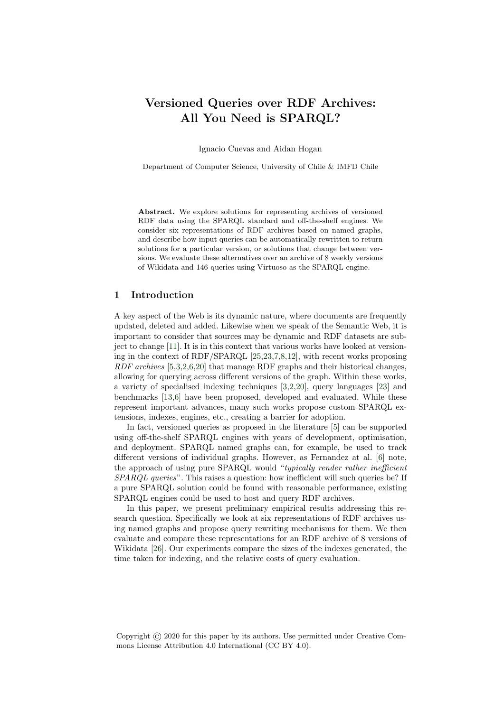# Versioned Queries over RDF Archives: All You Need is SPARQL?

Ignacio Cuevas and Aidan Hogan

Department of Computer Science, University of Chile & IMFD Chile

Abstract. We explore solutions for representing archives of versioned RDF data using the SPARQL standard and off-the-shelf engines. We consider six representations of RDF archives based on named graphs, and describe how input queries can be automatically rewritten to return solutions for a particular version, or solutions that change between versions. We evaluate these alternatives over an archive of 8 weekly versions of Wikidata and 146 queries using Virtuoso as the SPARQL engine.

# 1 Introduction

A key aspect of the Web is its dynamic nature, where documents are frequently updated, deleted and added. Likewise when we speak of the Semantic Web, it is important to consider that sources may be dynamic and RDF datasets are subject to change [\[11\]](#page-8-0). It is in this context that various works have looked at versioning in the context of RDF/SPARQL [\[25](#page-9-0)[,23,](#page-9-1)[7,](#page-8-1)[8,](#page-8-2)[12\]](#page-9-2), with recent works proposing RDF archives [\[5](#page-8-3)[,3,](#page-8-4)[2](#page-8-5)[,6](#page-8-6)[,20\]](#page-9-3) that manage RDF graphs and their historical changes, allowing for querying across different versions of the graph. Within these works, a variety of specialised indexing techniques [\[3,](#page-8-4)[2,](#page-8-5)[20\]](#page-9-3), query languages [\[23\]](#page-9-1) and benchmarks [\[13,](#page-9-4)[6\]](#page-8-6) have been proposed, developed and evaluated. While these represent important advances, many such works propose custom SPARQL extensions, indexes, engines, etc., creating a barrier for adoption.

In fact, versioned queries as proposed in the literature [\[5\]](#page-8-3) can be supported using off-the-shelf SPARQL engines with years of development, optimisation, and deployment. SPARQL named graphs can, for example, be used to track different versions of individual graphs. However, as Fernandez at al. [\[6\]](#page-8-6) note, the approach of using pure SPARQL would "typically render rather inefficient SPARQL queries". This raises a question: how inefficient will such queries be? If a pure SPARQL solution could be found with reasonable performance, existing SPARQL engines could be used to host and query RDF archives.

In this paper, we present preliminary empirical results addressing this research question. Specifically we look at six representations of RDF archives using named graphs and propose query rewriting mechanisms for them. We then evaluate and compare these representations for an RDF archive of 8 versions of Wikidata [\[26\]](#page-9-5). Our experiments compare the sizes of the indexes generated, the time taken for indexing, and the relative costs of query evaluation.

Copyright © 2020 for this paper by its authors. Use permitted under Creative Commons License Attribution 4.0 International (CC BY 4.0).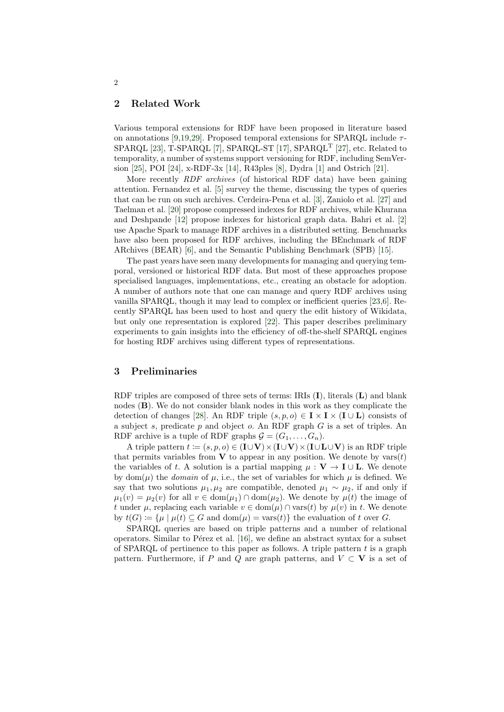# 2 Related Work

Various temporal extensions for RDF have been proposed in literature based on annotations [\[9,](#page-8-7)[19](#page-9-6)[,29\]](#page-9-7). Proposed temporal extensions for SPAROL include  $\tau$ -SPARQL [\[23\]](#page-9-1), T-SPARQL [\[7\]](#page-8-1), SPARQL-ST [\[17\]](#page-9-8), SPARQL<sup>T</sup> [\[27\]](#page-9-9), etc. Related to temporality, a number of systems support versioning for RDF, including SemVersion [\[25\]](#page-9-0), POI [\[24\]](#page-9-10), x-RDF-3x [\[14\]](#page-9-11), R43ples [\[8\]](#page-8-2), Dydra [\[1\]](#page-8-8) and Ostrich [\[21\]](#page-9-12).

More recently RDF archives (of historical RDF data) have been gaining attention. Fernandez et al. [\[5\]](#page-8-3) survey the theme, discussing the types of queries that can be run on such archives. Cerdeira-Pena et al. [\[3\]](#page-8-4), Zaniolo et al. [\[27\]](#page-9-9) and Taelman et al. [\[20\]](#page-9-3) propose compressed indexes for RDF archives, while Khurana and Deshpande [\[12\]](#page-9-2) propose indexes for historical graph data. Bahri et al. [\[2\]](#page-8-5) use Apache Spark to manage RDF archives in a distributed setting. Benchmarks have also been proposed for RDF archives, including the BEnchmark of RDF ARchives (BEAR) [\[6\]](#page-8-6), and the Semantic Publishing Benchmark (SPB) [\[15\]](#page-9-13).

The past years have seen many developments for managing and querying temporal, versioned or historical RDF data. But most of these approaches propose specialised languages, implementations, etc., creating an obstacle for adoption. A number of authors note that one can manage and query RDF archives using vanilla SPARQL, though it may lead to complex or inefficient queries [\[23,](#page-9-1)[6\]](#page-8-6). Recently SPARQL has been used to host and query the edit history of Wikidata, but only one representation is explored [\[22\]](#page-9-14). This paper describes preliminary experiments to gain insights into the efficiency of off-the-shelf SPARQL engines for hosting RDF archives using different types of representations.

# 3 Preliminaries

RDF triples are composed of three sets of terms: IRIs (I), literals (L) and blank nodes (B). We do not consider blank nodes in this work as they complicate the detection of changes [\[28\]](#page-9-15). An RDF triple  $(s, p, o) \in I \times I \times (I \cup L)$  consists of a subject s, predicate  $p$  and object  $o$ . An RDF graph  $G$  is a set of triples. An RDF archive is a tuple of RDF graphs  $\mathcal{G} = (G_1, \ldots, G_n)$ .

A triple pattern  $t := (s, p, o) \in (I \cup V) \times (I \cup V) \times (I \cup L \cup V)$  is an RDF triple that permits variables from V to appear in any position. We denote by  $\text{vars}(t)$ the variables of t. A solution is a partial mapping  $\mu : V \to I \cup L$ . We denote by dom( $\mu$ ) the *domain* of  $\mu$ , i.e., the set of variables for which  $\mu$  is defined. We say that two solutions  $\mu_1, \mu_2$  are compatible, denoted  $\mu_1 \sim \mu_2$ , if and only if  $\mu_1(v) = \mu_2(v)$  for all  $v \in \text{dom}(\mu_1) \cap \text{dom}(\mu_2)$ . We denote by  $\mu(t)$  the image of t under  $\mu$ , replacing each variable  $v \in \text{dom}(\mu) \cap \text{vars}(t)$  by  $\mu(v)$  in t. We denote by  $t(G) := {\mu | \mu(t) \subseteq G \text{ and } dom(\mu) = vars(t)}$  the evaluation of t over G.

SPARQL queries are based on triple patterns and a number of relational operators. Similar to Pérez et al.  $[16]$ , we define an abstract syntax for a subset of SPARQL of pertinence to this paper as follows. A triple pattern  $t$  is a graph pattern. Furthermore, if P and Q are graph patterns, and  $V \subset V$  is a set of

2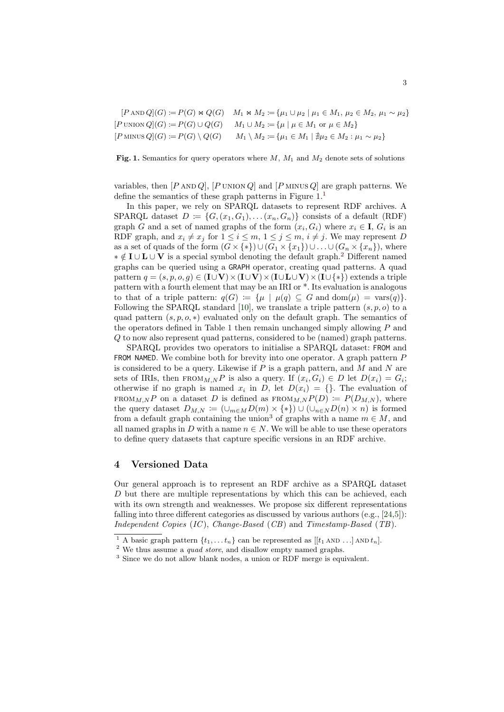$$
[P \text{ AND } Q](G) := P(G) \bowtie Q(G) \quad M_1 \bowtie M_2 := \{ \mu_1 \cup \mu_2 \mid \mu_1 \in M_1, \mu_2 \in M_2, \mu_1 \sim \mu_2 \}
$$
  

$$
[P \text{ UNION } Q](G) := P(G) \cup Q(G) \quad M_1 \cup M_2 := \{ \mu \mid \mu \in M_1 \text{ or } \mu \in M_2 \}
$$
  

$$
[P \text{ MINUS } Q](G) := P(G) \setminus Q(G) \quad M_1 \setminus M_2 := \{ \mu_1 \in M_1 \mid \nexists \mu_2 \in M_2 : \mu_1 \sim \mu_2 \}
$$

<span id="page-2-0"></span>Fig. 1. Semantics for query operators where  $M$ ,  $M_1$  and  $M_2$  denote sets of solutions

variables, then  $[P \text{ AND } Q]$ ,  $[P \text{ UNION } Q]$  and  $[P \text{ MINUS } Q]$  are graph patterns. We define the semantics of these graph patterns in Figure [1.](#page-2-0)<sup>[1](#page-2-1)</sup>

In this paper, we rely on SPARQL datasets to represent RDF archives. A SPARQL dataset  $D := \{G, (x_1, G_1), \ldots (x_n, G_n)\}\)$  consists of a default (RDF) graph G and a set of named graphs of the form  $(x_i, G_i)$  where  $x_i \in I$ ,  $G_i$  is an RDF graph, and  $x_i \neq x_j$  for  $1 \leq i \leq m$ ,  $1 \leq j \leq m$ ,  $i \neq j$ . We may represent D as a set of quads of the form  $(G \times \{*\}) \cup (G_1 \times \{x_1\}) \cup \ldots \cup (G_n \times \{x_n\})$ , where  $\ast \notin I \cup L \cup V$  is a special symbol denoting the default graph.<sup>[2](#page-2-2)</sup> Different named graphs can be queried using a GRAPH operator, creating quad patterns. A quad pattern  $q = (s, p, o, q) \in (I \cup V) \times (I \cup V) \times (I \cup L \cup V) \times (I \cup \{*\})$  extends a triple pattern with a fourth element that may be an IRI or \*. Its evaluation is analogous to that of a triple pattern:  $q(G) := \{ \mu \mid \mu(q) \subseteq G \text{ and } dom(\mu) = \text{vars}(q) \}.$ Following the SPARQL standard [\[10\]](#page-8-9), we translate a triple pattern  $(s, p, o)$  to a quad pattern  $(s, p, o, *)$  evaluated only on the default graph. The semantics of the operators defined in Table [1](#page-2-0) then remain unchanged simply allowing  $P$  and Q to now also represent quad patterns, considered to be (named) graph patterns.

SPARQL provides two operators to initialise a SPARQL dataset: FROM and FROM NAMED. We combine both for brevity into one operator. A graph pattern P is considered to be a query. Likewise if  $P$  is a graph pattern, and  $M$  and  $N$  are sets of IRIs, then  $FROM_{M,N}P$  is also a query. If  $(x_i, G_i) \in D$  let  $D(x_i) = G_i$ ; otherwise if no graph is named  $x_i$  in D, let  $D(x_i) = \{\}$ . The evaluation of FROM<sub>M,N</sub>P on a dataset D is defined as  $FROM_{M,N}P(D) \coloneqq P(D_{M,N})$ , where the query dataset  $D_{M,N} := (\cup_{m \in M} D(m) \times \{*\}) \cup (\cup_{n \in N} D(n) \times n)$  is formed from a default graph containing the union<sup>[3](#page-2-3)</sup> of graphs with a name  $m \in M$ , and all named graphs in D with a name  $n \in N$ . We will be able to use these operators to define query datasets that capture specific versions in an RDF archive.

#### 4 Versioned Data

Our general approach is to represent an RDF archive as a SPARQL dataset D but there are multiple representations by which this can be achieved, each with its own strength and weaknesses. We propose six different representations falling into three different categories as discussed by various authors (e.g., [\[24,](#page-9-10)[5\]](#page-8-3)): Independent Copies  $(IC)$ , Change-Based  $(CB)$  and Timestamp-Based  $(TB)$ .

<span id="page-2-1"></span><sup>&</sup>lt;sup>1</sup> A basic graph pattern  $\{t_1, \ldots t_n\}$  can be represented as  $[[t_1 \text{ AND } \ldots] \text{ AND } t_n]$ .

<span id="page-2-2"></span><sup>&</sup>lt;sup>2</sup> We thus assume a *quad store*, and disallow empty named graphs.

<span id="page-2-3"></span><sup>3</sup> Since we do not allow blank nodes, a union or RDF merge is equivalent.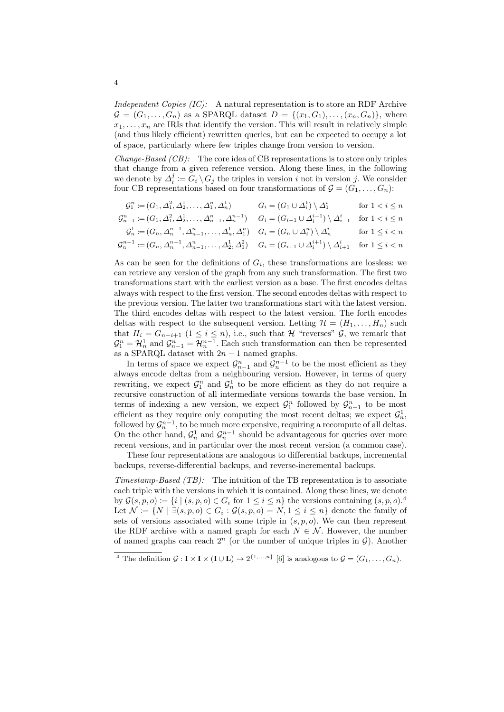Independent Copies  $(IC)$ : A natural representation is to store an RDF Archive  $G = (G_1, \ldots, G_n)$  as a SPARQL dataset  $D = \{(x_1, G_1), \ldots, (x_n, G_n)\}\$ , where  $x_1, \ldots, x_n$  are IRIs that identify the version. This will result in relatively simple (and thus likely efficient) rewritten queries, but can be expected to occupy a lot of space, particularly where few triples change from version to version.

*Change-Based (CB)*: The core idea of CB representations is to store only triples that change from a given reference version. Along these lines, in the following we denote by  $\Delta_i^j := G_i \setminus G_j$  the triples in version i not in version j. We consider four CB representations based on four transformations of  $\mathcal{G} = (G_1, \ldots, G_n)$ :

$$
G_1^n := (G_1, \Delta_1^2, \Delta_2^1, \dots, \Delta_1^n, \Delta_n^1) \nG_i = (G_1 \cup \Delta_i^1) \setminus \Delta_1^i \nfor 1 < i \le n
$$
\n
$$
G_{n-1}^n := (G_1, \Delta_1^2, \Delta_2^1, \dots, \Delta_{n-1}^n, \Delta_n^{n-1}) \nG_i = (G_{i-1} \cup \Delta_i^{i-1}) \setminus \Delta_{i-1}^i \nfor 1 < i \le n
$$
\n
$$
G_n^1 := (G_n, \Delta_n^{n-1}, \Delta_{n-1}^n, \dots, \Delta_n^1, \Delta_1^n) \nG_i = (G_n \cup \Delta_i^n) \setminus \Delta_n^i \nfor 1 \le i < n
$$
\n
$$
G_n^{n-1} := (G_n, \Delta_n^{n-1}, \Delta_{n-1}^n, \dots, \Delta_2^1, \Delta_1^2) \nG_i = (G_{i+1} \cup \Delta_i^{i+1}) \setminus \Delta_{i+1}^i \nfor 1 \le i < n
$$

As can be seen for the definitions of  $G_i$ , these transformations are lossless: we can retrieve any version of the graph from any such transformation. The first two transformations start with the earliest version as a base. The first encodes deltas always with respect to the first version. The second encodes deltas with respect to the previous version. The latter two transformations start with the latest version. The third encodes deltas with respect to the latest version. The forth encodes deltas with respect to the subsequent version. Letting  $\mathcal{H} = (H_1, \ldots, H_n)$  such that  $H_i = G_{n-i+1}$  (1 ≤ i ≤ n), i.e., such that H "reverses"  $\mathcal{G}$ , we remark that  $\mathcal{G}_1^n = \mathcal{H}_n^1$  and  $\mathcal{G}_{n-1}^n = \mathcal{H}_n^{n-1}$ . Each such transformation can then be represented as a SPARQL dataset with  $2n - 1$  named graphs.

In terms of space we expect  $\mathcal{G}_{n-1}^n$  and  $\mathcal{G}_n^{n-1}$  to be the most efficient as they always encode deltas from a neighbouring version. However, in terms of query rewriting, we expect  $\mathcal{G}_1^n$  and  $\mathcal{G}_n^1$  to be more efficient as they do not require a recursive construction of all intermediate versions towards the base version. In terms of indexing a new version, we expect  $\mathcal{G}_1^n$  followed by  $\mathcal{G}_{n-1}^n$  to be most efficient as they require only computing the most recent deltas; we expect  $\mathcal{G}_n^1$ , followed by  $\mathcal{G}_n^{n-1}$ , to be much more expensive, requiring a recompute of all deltas. On the other hand,  $\mathcal{G}_n^1$  and  $\mathcal{G}_n^{n-1}$  should be advantageous for queries over more recent versions, and in particular over the most recent version (a common case).

These four representations are analogous to differential backups, incremental backups, reverse-differential backups, and reverse-incremental backups.

Timestamp-Based  $(TB)$ : The intuition of the TB representation is to associate each triple with the versions in which it is contained. Along these lines, we denote by  $\mathcal{G}(s, p, o) \coloneqq \{i \mid (s, p, o) \in G_i \text{ for } 1 \leq i \leq n\}$  the versions containing  $(s, p, o)$ .<sup>[4](#page-3-0)</sup> Let  $\mathcal{N} \coloneqq \{ N \mid \exists (s, p, o) \in G_i : \mathcal{G}(s, p, o) = N, 1 \leq i \leq n \}$  denote the family of sets of versions associated with some triple in  $(s, p, o)$ . We can then represent the RDF archive with a named graph for each  $N \in \mathcal{N}$ . However, the number of named graphs can reach  $2^n$  (or the number of unique triples in  $\mathcal{G}$ ). Another

<span id="page-3-0"></span><sup>&</sup>lt;sup>4</sup> The definition  $\mathcal{G}: \mathbf{I} \times \mathbf{I} \times (\mathbf{I} \cup \mathbf{L}) \to 2^{\{1,\dots,n\}}$  [\[6\]](#page-8-6) is analogous to  $\mathcal{G} = (G_1, \dots, G_n)$ .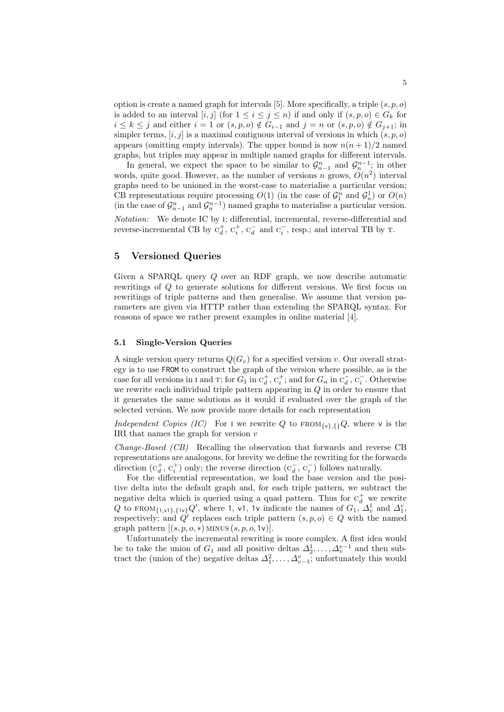option is create a named graph for intervals [\[5\]](#page-8-3). More specifically, a triple  $(s, p, o)$ is added to an interval  $[i, j]$  (for  $1 \leq i \leq j \leq n$ ) if and only if  $(s, p, o) \in G_k$  for  $i \leq k \leq j$  and either  $i = 1$  or  $(s, p, o) \notin G_{i-1}$  and  $j = n$  or  $(s, p, o) \notin G_{j+1}$ ; in simpler terms,  $[i, j]$  is a maximal contiguous interval of versions in which  $(s, p, o)$ appears (omitting empty intervals). The upper bound is now  $n(n+1)/2$  named graphs, but triples may appear in multiple named graphs for different intervals.

In general, we expect the space to be similar to  $\mathcal{G}_{n-1}^n$  and  $\mathcal{G}_n^{n-1}$ ; in other words, quite good. However, as the number of versions n grows,  $O(n^2)$  interval graphs need to be unioned in the worst-case to materialise a particular version; CB representations require processing  $O(1)$  (in the case of  $\mathcal{G}_1^n$  and  $\mathcal{G}_n^1$ ) or  $O(n)$ (in the case of  $\mathcal{G}_{n-1}^n$  and  $\mathcal{G}_n^{n-1}$ ) named graphs to materialise a particular version. Notation: We denote IC by i; differential, incremental, reverse-differential and reverse-incremental CB by  $C_d^+$ ,  $C_i^+$ ,  $C_d^-$  and  $C_i^-$ , resp.; and interval TB by T.

# 5 Versioned Queries

Given a SPARQL query Q over an RDF graph, we now describe automatic rewritings of Q to generate solutions for different versions. We first focus on rewritings of triple patterns and then generalise. We assume that version parameters are given via HTTP rather than extending the SPARQL syntax. For reasons of space we rather present examples in online material [\[4\]](#page-8-10).

#### 5.1 Single-Version Queries

A single version query returns  $Q(G_v)$  for a specified version v. Our overall strategy is to use FROM to construct the graph of the version where possible, as is the case for all versions in I and T; for  $G_1$  in  $C_d^+$ ,  $C_i^+$ ; and for  $G_n$  in  $C_d^-$ ,  $C_i^-$ . Otherwise we rewrite each individual triple pattern appearing in  $Q$  in order to ensure that it generates the same solutions as it would if evaluated over the graph of the selected version. We now provide more details for each representation

Independent Copies (IC) For I we rewrite Q to  $FROM_{\{v\},\{1\}}Q$ , where v is the IRI that names the graph for version  $v$ 

Change-Based (CB) Recalling the observation that forwards and reverse CB representations are analogous, for brevity we define the rewriting for the forwards direction  $(c_d^+, c_i^+)$  only; the reverse direction  $(c_d^-, c_i^-)$  follows naturally.

For the differential representation, we load the base version and the positive delta into the default graph and, for each triple pattern, we subtract the negative delta which is queried using a quad pattern. Thus for  $C_d^+$  we rewrite Q to FROM<sub>{1,v1}</sub>,<sub>{1v}</sub>Q', where 1, v1, 1v indicate the names of  $G_1$ ,  $\Delta_v^1$  and  $\Delta_1^v$ , respectively; and Q' replaces each triple pattern  $(s, p, o) \in Q$  with the named graph pattern  $[(s, p, o, *)$  MINUS  $(s, p, o, 1v)]$ .

Unfortunately the incremental rewriting is more complex. A first idea would be to take the union of  $G_1$  and all positive deltas  $\Delta_2^1, \ldots, \Delta_v^{v-1}$  and then subtract the (union of the) negative deltas  $\Delta_1^2, \ldots, \Delta_{v-1}^v$ ; unfortunately this would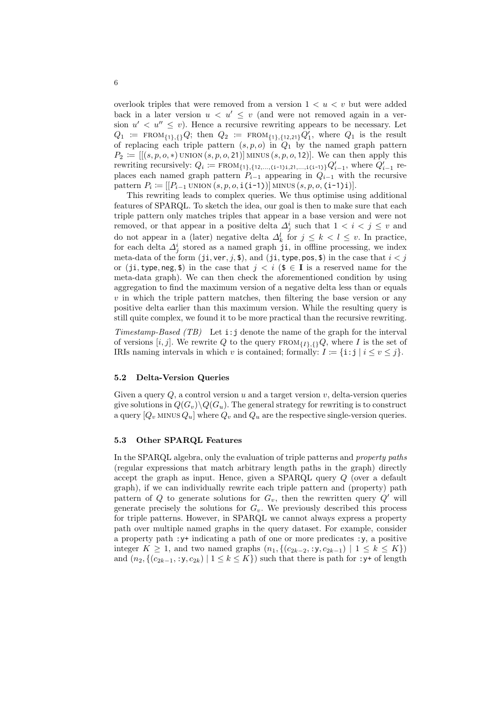overlook triples that were removed from a version  $1 < u < v$  but were added back in a later version  $u < u' \leq v$  (and were not removed again in a version  $u' < u'' \leq v$ ). Hence a recursive rewriting appears to be necessary. Let  $Q_1 := \text{FROM}_{\{1\},\{1\}}Q; \text{ then } Q_2 := \text{FROM}_{\{1\},\{12,21\}}Q_1', \text{ where } Q_1 \text{ is the result}$ of replacing each triple pattern  $(s, p, o)$  in  $Q_1$  by the named graph pattern  $P_2 := [[(s, p, o, *)$  UNION  $(s, p, o, 21)]$  MINUS  $(s, p, o, 12)]$ . We can then apply this rewriting recursively:  $Q_i = \text{FROM}_{\{1\},\{12,\ldots,(i-1)1,21,\ldots,i(i-1)\}}Q'_{i-1}$ , where  $Q'_{i-1}$  replaces each named graph pattern  $P_{i-1}$  appearing in  $Q_{i-1}$  with the recursive pattern  $P_i \coloneqq [[P_{i-1} \text{UNION}(s, p, o, \texttt{i(i-1)})] \text{MINUS}(s, p, o, \texttt{(i-1)i})].$ 

This rewriting leads to complex queries. We thus optimise using additional features of SPARQL. To sketch the idea, our goal is then to make sure that each triple pattern only matches triples that appear in a base version and were not removed, or that appear in a positive delta  $\Delta_j^i$  such that  $1 < i < j \leq v$  and do not appear in a (later) negative delta  $\Delta_k^l$  for  $j \leq k < l \leq v$ . In practice, for each delta  $\Delta_j^i$  stored as a named graph ji, in offline processing, we index meta-data of the form  $(ji, ver, j, $),$  and  $(ji, type, pos, $)$  in the case that  $i < j$ or (ji, type, neg, \$) in the case that  $j < i$  (\$  $\in$  I is a reserved name for the meta-data graph). We can then check the aforementioned condition by using aggregation to find the maximum version of a negative delta less than or equals  $v$  in which the triple pattern matches, then filtering the base version or any positive delta earlier than this maximum version. While the resulting query is still quite complex, we found it to be more practical than the recursive rewriting.

Timestamp-Based (TB) Let  $i:j$  denote the name of the graph for the interval of versions  $[i, j]$ . We rewrite Q to the query  $FROM_{\{I\},\{1\}}Q$ , where I is the set of IRIs naming intervals in which v is contained; formally:  $I := \{i : j \mid i \le v \le j\}.$ 

#### 5.2 Delta-Version Queries

Given a query  $Q$ , a control version  $u$  and a target version  $v$ , delta-version queries give solutions in  $Q(G_v)\backslash Q(G_u)$ . The general strategy for rewriting is to construct a query  $[Q_v \text{ MINUS } Q_u]$  where  $Q_v$  and  $Q_u$  are the respective single-version queries.

#### 5.3 Other SPARQL Features

In the SPARQL algebra, only the evaluation of triple patterns and property paths (regular expressions that match arbitrary length paths in the graph) directly accept the graph as input. Hence, given a SPARQL query Q (over a default graph), if we can individually rewrite each triple pattern and (property) path pattern of Q to generate solutions for  $G_v$ , then the rewritten query Q' will generate precisely the solutions for  $G_v$ . We previously described this process for triple patterns. However, in SPARQL we cannot always express a property path over multiple named graphs in the query dataset. For example, consider a property path :y+ indicating a path of one or more predicates :y, a positive integer  $K \ge 1$ , and two named graphs  $(n_1, \{(c_{2k-2}, y, c_{2k-1}) | 1 \le k \le K\})$ and  $(n_2, \{(c_{2k-1}, y, c_{2k}) \mid 1 \le k \le K\})$  such that there is path for  $y+$  of length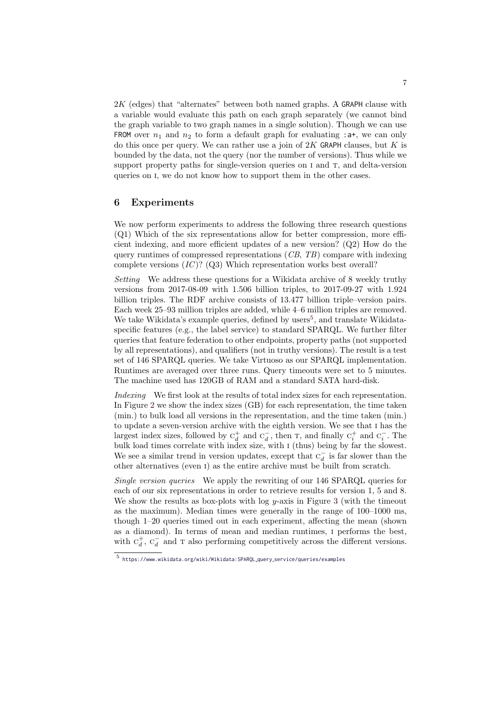$2K$  (edges) that "alternates" between both named graphs. A GRAPH clause with a variable would evaluate this path on each graph separately (we cannot bind the graph variable to two graph names in a single solution). Though we can use FROM over  $n_1$  and  $n_2$  to form a default graph for evaluating : a+, we can only do this once per query. We can rather use a join of  $2K$  GRAPH clauses, but K is bounded by the data, not the query (nor the number of versions). Thus while we support property paths for single-version queries on I and T, and delta-version queries on i, we do not know how to support them in the other cases.

# 6 Experiments

We now perform experiments to address the following three research questions (Q1) Which of the six representations allow for better compression, more efficient indexing, and more efficient updates of a new version? (Q2) How do the query runtimes of compressed representations  $(CB, TB)$  compare with indexing complete versions  $(IC)$ ? (Q3) Which representation works best overall?

Setting We address these questions for a Wikidata archive of 8 weekly truthy versions from 2017-08-09 with 1.506 billion triples, to 2017-09-27 with 1.924 billion triples. The RDF archive consists of 13.477 billion triple–version pairs. Each week 25–93 million triples are added, while 4–6 million triples are removed. We take Wikidata's example queries, defined by users<sup>[5](#page-6-0)</sup>, and translate Wikidataspecific features (e.g., the label service) to standard SPARQL. We further filter queries that feature federation to other endpoints, property paths (not supported by all representations), and qualifiers (not in truthy versions). The result is a test set of 146 SPARQL queries. We take Virtuoso as our SPARQL implementation. Runtimes are averaged over three runs. Query timeouts were set to 5 minutes. The machine used has 120GB of RAM and a standard SATA hard-disk.

Indexing We first look at the results of total index sizes for each representation. In Figure [2](#page-7-0) we show the index sizes (GB) for each representation, the time taken (min.) to bulk load all versions in the representation, and the time taken (min.) to update a seven-version archive with the eighth version. We see that i has the largest index sizes, followed by  $C_d^+$  and  $C_d^-$ , then T, and finally  $C_i^+$  and  $C_i^-$ . The bulk load times correlate with index size, with i (thus) being by far the slowest. We see a similar trend in version updates, except that  $C_d^-$  is far slower than the other alternatives (even i) as the entire archive must be built from scratch.

Single version queries We apply the rewriting of our 146 SPARQL queries for each of our six representations in order to retrieve results for version 1, 5 and 8. We show the results as box-plots with log  $y$ -axis in Figure [3](#page-7-1) (with the timeout as the maximum). Median times were generally in the range of 100–1000 ms, though 1–20 queries timed out in each experiment, affecting the mean (shown as a diamond). In terms of mean and median runtimes, i performs the best, with  $C_d^+$ ,  $C_d^-$  and T also performing competitively across the different versions.

<span id="page-6-0"></span><sup>5</sup> [https://www.wikidata.org/wiki/Wikidata:SPARQL](https://www.wikidata.org/wiki/Wikidata:SPARQL_query_service/queries/examples) query service/queries/examples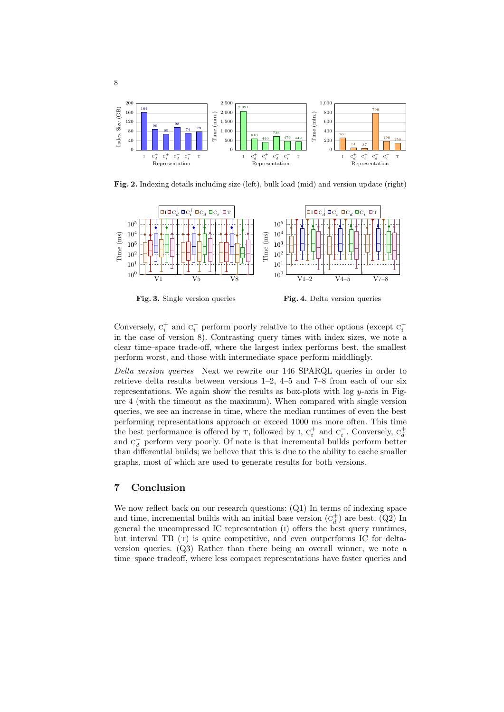

<span id="page-7-0"></span>Fig. 2. Indexing details including size (left), bulk load (mid) and version update (right)



<span id="page-7-2"></span><span id="page-7-1"></span>Conversely,  $\mathbf{c}_i^+$  and  $\mathbf{c}_i^-$  perform poorly relative to the other options (except  $\mathbf{c}_i^$ in the case of version 8). Contrasting query times with index sizes, we note a clear time–space trade-off, where the largest index performs best, the smallest perform worst, and those with intermediate space perform middlingly.

Delta version queries Next we rewrite our 146 SPARQL queries in order to retrieve delta results between versions 1–2, 4–5 and 7–8 from each of our six representations. We again show the results as box-plots with  $log\ y$ -axis in Figure [4](#page-7-2) (with the timeout as the maximum). When compared with single version queries, we see an increase in time, where the median runtimes of even the best performing representations approach or exceed 1000 ms more often. This time the best performance is offered by  $\tau$ , followed by  $I$ ,  $C_i^+$  and  $C_i^-$ . Conversely,  $C_d^+$ and  $C_d^-$  perform very poorly. Of note is that incremental builds perform better than differential builds; we believe that this is due to the ability to cache smaller graphs, most of which are used to generate results for both versions.

# 7 Conclusion

8

We now reflect back on our research questions: (Q1) In terms of indexing space and time, incremental builds with an initial base version  $(c_d^+)$  are best. (Q2) In general the uncompressed IC representation (i) offers the best query runtimes, but interval TB  $(T)$  is quite competitive, and even outperforms IC for deltaversion queries. (Q3) Rather than there being an overall winner, we note a time–space tradeoff, where less compact representations have faster queries and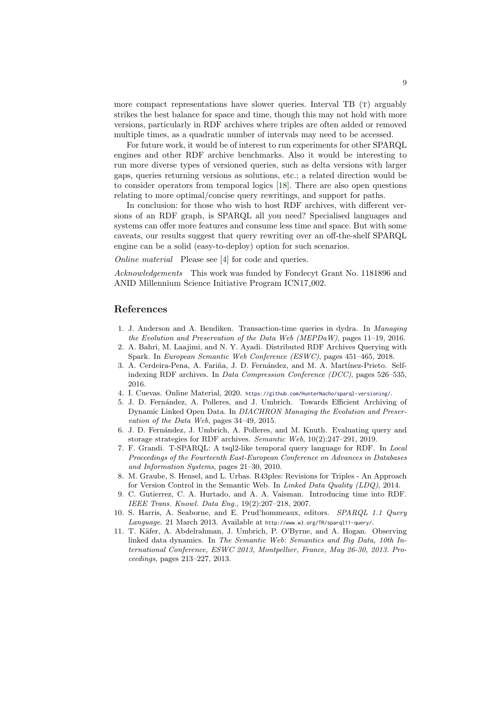more compact representations have slower queries. Interval TB  $(T)$  arguably strikes the best balance for space and time, though this may not hold with more versions, particularly in RDF archives where triples are often added or removed multiple times, as a quadratic number of intervals may need to be accessed.

For future work, it would be of interest to run experiments for other SPARQL engines and other RDF archive benchmarks. Also it would be interesting to run more diverse types of versioned queries, such as delta versions with larger gaps, queries returning versions as solutions, etc.; a related direction would be to consider operators from temporal logics [\[18\]](#page-9-17). There are also open questions relating to more optimal/concise query rewritings, and support for paths.

In conclusion: for those who wish to host RDF archives, with different versions of an RDF graph, is SPARQL all you need? Specialised languages and systems can offer more features and consume less time and space. But with some caveats, our results suggest that query rewriting over an off-the-shelf SPARQL engine can be a solid (easy-to-deploy) option for such scenarios.

Online material Please see [\[4\]](#page-8-10) for code and queries.

Acknowledgements This work was funded by Fondecyt Grant No. 1181896 and ANID Millennium Science Initiative Program ICN17<sub>-002</sub>.

# References

- <span id="page-8-8"></span>1. J. Anderson and A. Bendiken. Transaction-time queries in dydra. In Managing the Evolution and Preservation of the Data Web (MEPDaW), pages 11–19, 2016.
- <span id="page-8-5"></span>2. A. Bahri, M. Laajimi, and N. Y. Ayadi. Distributed RDF Archives Querying with Spark. In European Semantic Web Conference (ESWC), pages 451–465, 2018.
- <span id="page-8-4"></span>3. A. Cerdeira-Pena, A. Fariña, J. D. Fernández, and M. A. Martínez-Prieto. Selfindexing RDF archives. In Data Compression Conference (DCC), pages 526–535, 2016.
- <span id="page-8-10"></span>4. I. Cuevas. Online Material, 2020. <https://github.com/HunterNacho/sparql-versioning/>.
- <span id="page-8-3"></span>5. J. D. Fern´andez, A. Polleres, and J. Umbrich. Towards Efficient Archiving of Dynamic Linked Open Data. In DIACHRON Managing the Evolution and Preservation of the Data Web, pages 34–49, 2015.
- <span id="page-8-6"></span>6. J. D. Fern´andez, J. Umbrich, A. Polleres, and M. Knuth. Evaluating query and storage strategies for RDF archives. Semantic Web, 10(2):247–291, 2019.
- <span id="page-8-1"></span>7. F. Grandi. T-SPARQL: A tsql2-like temporal query language for RDF. In Local Proceedings of the Fourteenth East-European Conference on Advances in Databases and Information Systems, pages 21–30, 2010.
- <span id="page-8-2"></span>8. M. Graube, S. Hensel, and L. Urbas. R43ples: Revisions for Triples - An Approach for Version Control in the Semantic Web. In Linked Data Quality (LDQ), 2014.
- <span id="page-8-7"></span>9. C. Gutierrez, C. A. Hurtado, and A. A. Vaisman. Introducing time into RDF. IEEE Trans. Knowl. Data Eng., 19(2):207–218, 2007.
- <span id="page-8-9"></span>10. S. Harris, A. Seaborne, and E. Prud'hommeaux, editors. SPARQL 1.1 Query Language. 21 March 2013. Available at http://www.w3.org/TR/sparql11-query/.
- <span id="page-8-0"></span>11. T. Käfer, A. Abdelrahman, J. Umbrich, P. O'Byrne, and A. Hogan. Observing linked data dynamics. In The Semantic Web: Semantics and Big Data, 10th International Conference, ESWC 2013, Montpellier, France, May 26-30, 2013. Proceedings, pages 213–227, 2013.